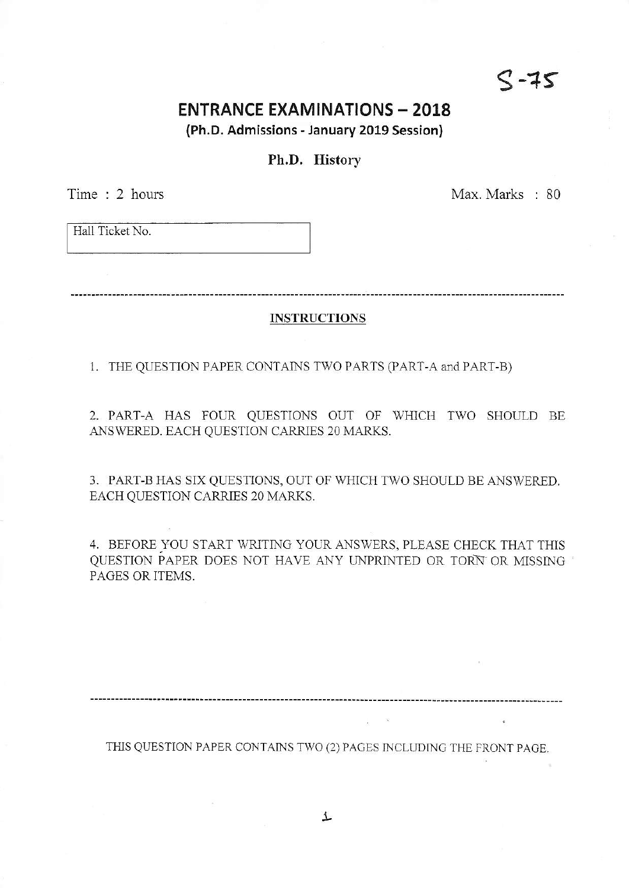$S - 75$ 

# **ENTRANCE EXAMINATIONS - 2018**

(Ph.D. Admissions - January 2019 Session)

## Ph.D. History

Time : 2 hours Max. Marks : 80

Hall Ticket No.

## **INSTRUCTIONS**

1. THE QUESTION PAPER CONTAINS TWO PARTS (PART-A and PART-B)

2. PART-A HAS FOUR QUESTIONS OUT OF WHICH TWO SHOULD BE ANSWERED. EACH QUESTION CARRIES 20 MARKS.

3. PART-B HAS SIX QUESTIONS, OUT OF WHICH TWO SHOULD BE ANSWERED. EACH QUESTION CARRIES 20 MARKS,

4. BEFORE YOU START WRITING YOUR ANSWERS, PLEASE CHECK THAT THIS QUESTION PAPER DOES NOT HAVE ANY UNPRINTED OR TORN OR MISSING ' PAGES OR ITEMS,

THIS QUESTION PAPER CONTAINS TWO (2) PAGES INCLUDING THE FRONT PAGE.